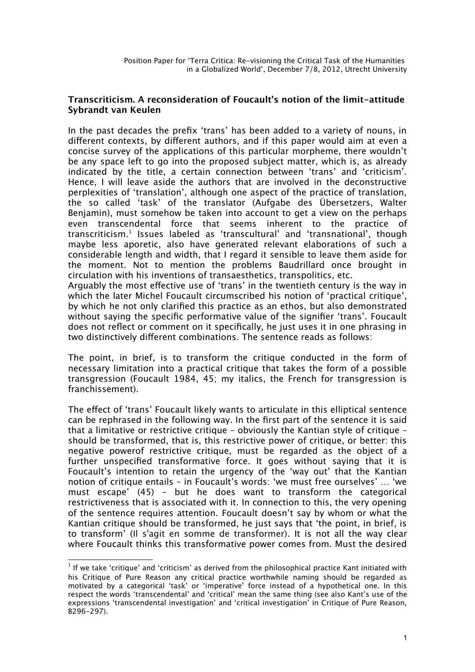# **Transcriticism. A reconsideration of Foucault's notion of the limit-attitude Sybrandt van Keulen**

In the past decades the prefix 'trans' has been added to a variety of nouns, in diferent contexts, by diferent authors, and if this paper would aim at even a concise survey of the applications of this particular morpheme, there wouldn't be any space left to go into the proposed subject matter, which is, as already indicated by the title, a certain connection between 'trans' and 'criticism'. Hence, I will leave aside the authors that are involved in the deconstructive perplexities of 'translation', although one aspect of the practice of translation, the so called 'task' of the translator (Aufgabe des Übersetzers, Walter Benjamin), must somehow be taken into account to get a view on the perhaps even transcendental force that seems inherent to the practice of transcriticism.[1](#page-0-0) Issues labeled as 'transcultural' and 'transnational', though maybe less aporetic, also have generated relevant elaborations of such a considerable length and width, that I regard it sensible to leave them aside for the moment. Not to mention the problems Baudrillard once brought in circulation with his inventions of transaesthetics, transpolitics, etc.

Arguably the most efective use of 'trans' in the twentieth century is the way in which the later Michel Foucault circumscribed his notion of 'practical critique', by which he not only clarifed this practice as an ethos, but also demonstrated without saying the specifc performative value of the signifer 'trans'. Foucault does not refect or comment on it specifcally, he just uses it in one phrasing in two distinctively diferent combinations. The sentence reads as follows:

The point, in brief, is to transform the critique conducted in the form of necessary limitation into a practical critique that takes the form of a possible transgression (Foucault 1984, 45; my italics, the French for transgression is franchissement).

The effect of 'trans' Foucault likely wants to articulate in this elliptical sentence can be rephrased in the following way. In the frst part of the sentence it is said that a limitative or restrictive critique – obviously the Kantian style of critique – should be transformed, that is, this restrictive power of critique, or better: this negative powerof restrictive critique, must be regarded as the object of a further unspecifed transformative force. It goes without saying that it is Foucault's intention to retain the urgency of the 'way out' that the Kantian notion of critique entails – in Foucault's words: 'we must free ourselves' … 'we must escape' (45) – but he does want to transform the categorical restrictiveness that is associated with it. In connection to this, the very opening of the sentence requires attention. Foucault doesn't say by whom or what the Kantian critique should be transformed, he just says that 'the point, in brief, is to transform' (Il s'agit en somme de transformer). It is not all the way clear where Foucault thinks this transformative power comes from. Must the desired

<span id="page-0-0"></span> $^1$  If we take 'critique' and 'criticism' as derived from the philosophical practice Kant initiated with his Critique of Pure Reason any critical practice worthwhile naming should be regarded as motivated by a categorical 'task' or 'imperative' force instead of a hypothetical one. In this respect the words 'transcendental' and 'critical' mean the same thing (see also Kant's use of the expressions 'transcendental investigation' and 'critical investigation' in Critique of Pure Reason, B296-297).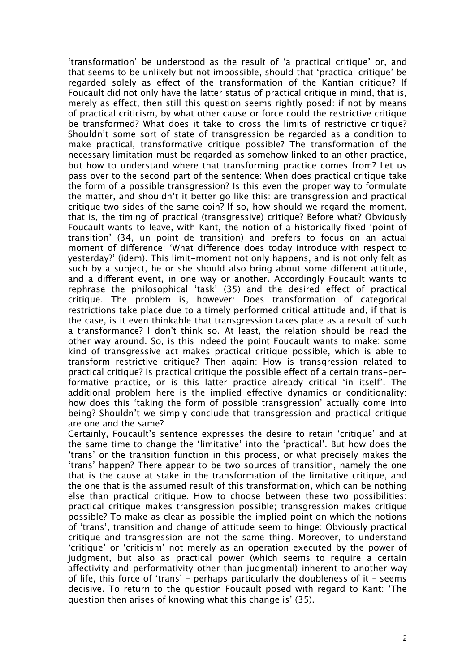'transformation' be understood as the result of 'a practical critique' or, and that seems to be unlikely but not impossible, should that 'practical critique' be regarded solely as efect of the transformation of the Kantian critique? If Foucault did not only have the latter status of practical critique in mind, that is, merely as efect, then still this question seems rightly posed: if not by means of practical criticism, by what other cause or force could the restrictive critique be transformed? What does it take to cross the limits of restrictive critique? Shouldn't some sort of state of transgression be regarded as a condition to make practical, transformative critique possible? The transformation of the necessary limitation must be regarded as somehow linked to an other practice, but how to understand where that transforming practice comes from? Let us pass over to the second part of the sentence: When does practical critique take the form of a possible transgression? Is this even the proper way to formulate the matter, and shouldn't it better go like this: are transgression and practical critique two sides of the same coin? If so, how should we regard the moment, that is, the timing of practical (transgressive) critique? Before what? Obviously Foucault wants to leave, with Kant, the notion of a historically fxed 'point of transition' (34, un point de transition) and prefers to focus on an actual moment of diference: 'What diference does today introduce with respect to yesterday?' (idem). This limit-moment not only happens, and is not only felt as such by a subject, he or she should also bring about some diferent attitude, and a diferent event, in one way or another. Accordingly Foucault wants to rephrase the philosophical 'task' (35) and the desired efect of practical critique. The problem is, however: Does transformation of categorical restrictions take place due to a timely performed critical attitude and, if that is the case, is it even thinkable that transgression takes place as a result of such a transformance? I don't think so. At least, the relation should be read the other way around. So, is this indeed the point Foucault wants to make: some kind of transgressive act makes practical critique possible, which is able to transform restrictive critique? Then again: How is transgression related to practical critique? Is practical critique the possible efect of a certain trans-performative practice, or is this latter practice already critical 'in itself'. The additional problem here is the implied efective dynamics or conditionality: how does this 'taking the form of possible transgression' actually come into being? Shouldn't we simply conclude that transgression and practical critique are one and the same?

Certainly, Foucault's sentence expresses the desire to retain 'critique' and at the same time to change the 'limitative' into the 'practical'. But how does the 'trans' or the transition function in this process, or what precisely makes the 'trans' happen? There appear to be two sources of transition, namely the one that is the cause at stake in the transformation of the limitative critique, and the one that is the assumed result of this transformation, which can be nothing else than practical critique. How to choose between these two possibilities: practical critique makes transgression possible; transgression makes critique possible? To make as clear as possible the implied point on which the notions of 'trans', transition and change of attitude seem to hinge: Obviously practical critique and transgression are not the same thing. Moreover, to understand 'critique' or 'criticism' not merely as an operation executed by the power of judgment, but also as practical power (which seems to require a certain afectivity and performativity other than judgmental) inherent to another way of life, this force of 'trans' – perhaps particularly the doubleness of it – seems decisive. To return to the question Foucault posed with regard to Kant: 'The question then arises of knowing what this change is' (35).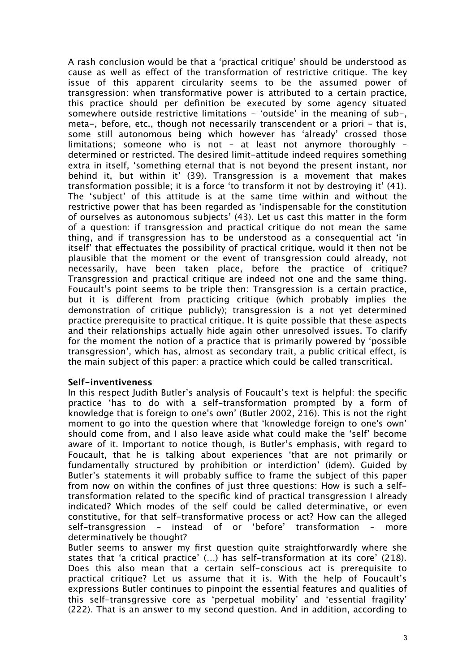A rash conclusion would be that a 'practical critique' should be understood as cause as well as efect of the transformation of restrictive critique. The key issue of this apparent circularity seems to be the assumed power of transgression: when transformative power is attributed to a certain practice, this practice should per defnition be executed by some agency situated somewhere outside restrictive limitations - 'outside' in the meaning of sub-, meta-, before, etc., though not necessarily transcendent or a priori – that is, some still autonomous being which however has 'already' crossed those limitations; someone who is not – at least not anymore thoroughly – determined or restricted. The desired limit-attitude indeed requires something extra in itself, 'something eternal that is not beyond the present instant, nor behind it, but within it' (39). Transgression is a movement that makes transformation possible; it is a force 'to transform it not by destroying it' (41). The 'subject' of this attitude is at the same time within and without the restrictive power that has been regarded as 'indispensable for the constitution of ourselves as autonomous subjects' (43). Let us cast this matter in the form of a question: if transgression and practical critique do not mean the same thing, and if transgression has to be understood as a consequential act 'in itself' that efectuates the possibility of practical critique, would it then not be plausible that the moment or the event of transgression could already, not necessarily, have been taken place, before the practice of critique? Transgression and practical critique are indeed not one and the same thing. Foucault's point seems to be triple then: Transgression is a certain practice, but it is diferent from practicing critique (which probably implies the demonstration of critique publicly); transgression is a not yet determined practice prerequisite to practical critique. It is quite possible that these aspects and their relationships actually hide again other unresolved issues. To clarify for the moment the notion of a practice that is primarily powered by 'possible transgression', which has, almost as secondary trait, a public critical efect, is the main subject of this paper: a practice which could be called transcritical.

## **Self-inventiveness**

In this respect Judith Butler's analysis of Foucault's text is helpful: the specifc practice 'has to do with a self-transformation prompted by a form of knowledge that is foreign to one's own' (Butler 2002, 216). This is not the right moment to go into the question where that 'knowledge foreign to one's own' should come from, and I also leave aside what could make the 'self' become aware of it. Important to notice though, is Butler's emphasis, with regard to Foucault, that he is talking about experiences 'that are not primarily or fundamentally structured by prohibition or interdiction' (idem). Guided by Butler's statements it will probably suffice to frame the subject of this paper from now on within the confnes of just three questions: How is such a selftransformation related to the specifc kind of practical transgression I already indicated? Which modes of the self could be called determinative, or even constitutive, for that self-transformative process or act? How can the alleged self-transgression – instead of or 'before' transformation – more determinatively be thought?

Butler seems to answer my frst question quite straightforwardly where she states that 'a critical practice' (…) has self-transformation at its core' (218). Does this also mean that a certain self-conscious act is prerequisite to practical critique? Let us assume that it is. With the help of Foucault's expressions Butler continues to pinpoint the essential features and qualities of this self-transgressive core as 'perpetual mobility' and 'essential fragility' (222). That is an answer to my second question. And in addition, according to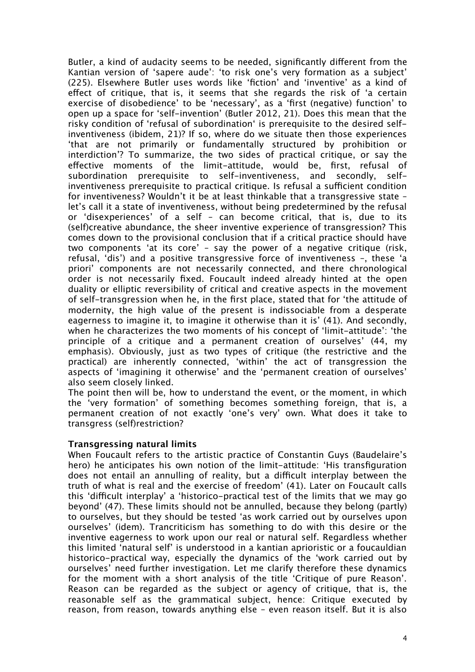Butler, a kind of audacity seems to be needed, signifcantly diferent from the Kantian version of 'sapere aude': 'to risk one's very formation as a subject' (225). Elsewhere Butler uses words like 'fction' and 'inventive' as a kind of efect of critique, that is, it seems that she regards the risk of 'a certain exercise of disobedience' to be 'necessary', as a 'first (negative) function' to open up a space for 'self-invention' (Butler 2012, 21). Does this mean that the risky condition of 'refusal of subordination' is prerequisite to the desired selfinventiveness (ibidem, 21)? If so, where do we situate then those experiences 'that are not primarily or fundamentally structured by prohibition or interdiction'? To summarize, the two sides of practical critique, or say the efective moments of the limit-attitude, would be, frst, refusal of subordination prerequisite to self-inventiveness, and secondly, selfinventiveness prerequisite to practical critique. Is refusal a sufficient condition for inventiveness? Wouldn't it be at least thinkable that a transgressive state – let's call it a state of inventiveness, without being predetermined by the refusal or 'disexperiences' of a self – can become critical, that is, due to its (self)creative abundance, the sheer inventive experience of transgression? This comes down to the provisional conclusion that if a critical practice should have two components 'at its core' – say the power of a negative critique (risk, refusal, 'dis') and a positive transgressive force of inventiveness –, these 'a priori' components are not necessarily connected, and there chronological order is not necessarily fxed. Foucault indeed already hinted at the open duality or elliptic reversibility of critical and creative aspects in the movement of self-transgression when he, in the frst place, stated that for 'the attitude of modernity, the high value of the present is indissociable from a desperate eagerness to imagine it, to imagine it otherwise than it is' (41). And secondly, when he characterizes the two moments of his concept of 'limit-attitude': 'the principle of a critique and a permanent creation of ourselves' (44, my emphasis). Obviously, just as two types of critique (the restrictive and the practical) are inherently connected, 'within' the act of transgression the aspects of 'imagining it otherwise' and the 'permanent creation of ourselves' also seem closely linked.

The point then will be, how to understand the event, or the moment, in which the 'very formation' of something becomes something foreign, that is, a permanent creation of not exactly 'one's very' own. What does it take to transgress (self)restriction?

## **Transgressing natural limits**

When Foucault refers to the artistic practice of Constantin Guys (Baudelaire's hero) he anticipates his own notion of the limit-attitude: 'His transfguration does not entail an annulling of reality, but a difficult interplay between the truth of what is real and the exercise of freedom' (41). Later on Foucault calls this 'difficult interplay' a 'historico-practical test of the limits that we may go beyond' (47). These limits should not be annulled, because they belong (partly) to ourselves, but they should be tested 'as work carried out by ourselves upon ourselves' (idem). Trancriticism has something to do with this desire or the inventive eagerness to work upon our real or natural self. Regardless whether this limited 'natural self' is understood in a kantian aprioristic or a foucauldian historico-practical way, especially the dynamics of the 'work carried out by ourselves' need further investigation. Let me clarify therefore these dynamics for the moment with a short analysis of the title 'Critique of pure Reason'. Reason can be regarded as the subject or agency of critique, that is, the reasonable self as the grammatical subject, hence: Critique executed by reason, from reason, towards anything else – even reason itself. But it is also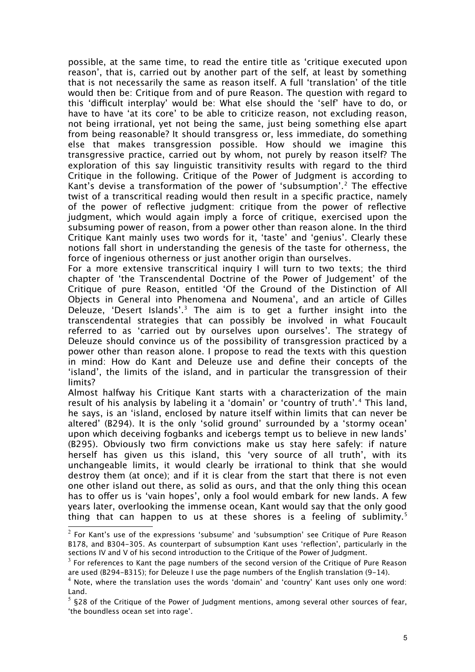possible, at the same time, to read the entire title as 'critique executed upon reason', that is, carried out by another part of the self, at least by something that is not necessarily the same as reason itself. A full 'translation' of the title would then be: Critique from and of pure Reason. The question with regard to this 'difcult interplay' would be: What else should the 'self' have to do, or have to have 'at its core' to be able to criticize reason, not excluding reason, not being irrational, yet not being the same, just being something else apart from being reasonable? It should transgress or, less immediate, do something else that makes transgression possible. How should we imagine this transgressive practice, carried out by whom, not purely by reason itself? The exploration of this say linguistic transitivity results with regard to the third Critique in the following. Critique of the Power of Judgment is according to Kant's devise a transformation of the power of 'subsumption'.<sup>[2](#page-4-0)</sup> The effective twist of a transcritical reading would then result in a specifc practice, namely of the power of refective judgment: critique from the power of refective judgment, which would again imply a force of critique, exercised upon the subsuming power of reason, from a power other than reason alone. In the third Critique Kant mainly uses two words for it, 'taste' and 'genius'. Clearly these notions fall short in understanding the genesis of the taste for otherness, the force of ingenious otherness or just another origin than ourselves.

For a more extensive transcritical inquiry I will turn to two texts; the third chapter of 'the Transcendental Doctrine of the Power of Judgement' of the Critique of pure Reason, entitled 'Of the Ground of the Distinction of All Objects in General into Phenomena and Noumena', and an article of Gilles Deleuze, 'Desert Islands'.<sup>[3](#page-4-1)</sup> The aim is to get a further insight into the transcendental strategies that can possibly be involved in what Foucault referred to as 'carried out by ourselves upon ourselves'. The strategy of Deleuze should convince us of the possibility of transgression practiced by a power other than reason alone. I propose to read the texts with this question in mind: How do Kant and Deleuze use and defne their concepts of the 'island', the limits of the island, and in particular the transgression of their limits?

Almost halfway his Critique Kant starts with a characterization of the main result of his analysis by labeling it a 'domain' or 'country of truth'.<sup>[4](#page-4-2)</sup> This land, he says, is an 'island, enclosed by nature itself within limits that can never be altered' (B294). It is the only 'solid ground' surrounded by a 'stormy ocean' upon which deceiving fogbanks and icebergs tempt us to believe in new lands' (B295). Obviously two frm convictions make us stay here safely: if nature herself has given us this island, this 'very source of all truth', with its unchangeable limits, it would clearly be irrational to think that she would destroy them (at once); and if it is clear from the start that there is not even one other island out there, as solid as ours, and that the only thing this ocean has to offer us is 'vain hopes', only a fool would embark for new lands. A few years later, overlooking the immense ocean, Kant would say that the only good thing that can happen to us at these shores is a feeling of sublimity.<sup>[5](#page-4-3)</sup>

<span id="page-4-0"></span> $^2$  For Kant's use of the expressions 'subsume' and 'subsumption' see Critique of Pure Reason B178, and B304-305. As counterpart of subsumption Kant uses 'refection', particularly in the sections IV and V of his second introduction to the Critique of the Power of Judgment.

<span id="page-4-1"></span> $^3$  For references to Kant the page numbers of the second version of the Critique of Pure Reason are used (B294-B315); for Deleuze I use the page numbers of the English translation (9-14).

<span id="page-4-2"></span> $^4$  Note, where the translation uses the words 'domain' and 'country' Kant uses only one word: Land.

<span id="page-4-3"></span> $^5$  §28 of the Critique of the Power of Judgment mentions, among several other sources of fear, 'the boundless ocean set into rage'.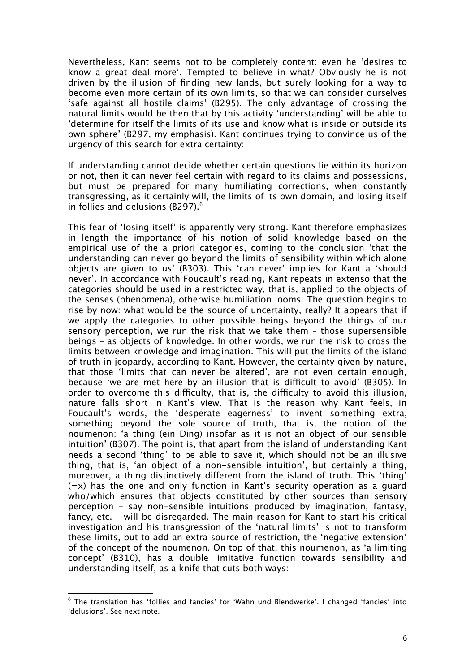Nevertheless, Kant seems not to be completely content: even he 'desires to know a great deal more'. Tempted to believe in what? Obviously he is not driven by the illusion of fnding new lands, but surely looking for a way to become even more certain of its own limits, so that we can consider ourselves 'safe against all hostile claims' (B295). The only advantage of crossing the natural limits would be then that by this activity 'understanding' will be able to 'determine for itself the limits of its use and know what is inside or outside its own sphere' (B297, my emphasis). Kant continues trying to convince us of the urgency of this search for extra certainty:

If understanding cannot decide whether certain questions lie within its horizon or not, then it can never feel certain with regard to its claims and possessions, but must be prepared for many humiliating corrections, when constantly transgressing, as it certainly will, the limits of its own domain, and losing itself in follies and delusions  $(B297)$ .<sup>[6](#page-5-0)</sup>

This fear of 'losing itself' is apparently very strong. Kant therefore emphasizes in length the importance of his notion of solid knowledge based on the empirical use of the a priori categories, coming to the conclusion 'that the understanding can never go beyond the limits of sensibility within which alone objects are given to us' (B303). This 'can never' implies for Kant a 'should never'. In accordance with Foucault's reading, Kant repeats in extenso that the categories should be used in a restricted way, that is, applied to the objects of the senses (phenomena), otherwise humiliation looms. The question begins to rise by now: what would be the source of uncertainty, really? It appears that if we apply the categories to other possible beings beyond the things of our sensory perception, we run the risk that we take them – those supersensible beings – as objects of knowledge. In other words, we run the risk to cross the limits between knowledge and imagination. This will put the limits of the island of truth in jeopardy, according to Kant. However, the certainty given by nature, that those 'limits that can never be altered', are not even certain enough, because 'we are met here by an illusion that is difficult to avoid' (B305). In order to overcome this difficulty, that is, the difficulty to avoid this illusion, nature falls short in Kant's view. That is the reason why Kant feels, in Foucault's words, the 'desperate eagerness' to invent something extra, something beyond the sole source of truth, that is, the notion of the noumenon: 'a thing (ein Ding) insofar as it is not an object of our sensible intuition' (B307). The point is, that apart from the island of understanding Kant needs a second 'thing' to be able to save it, which should not be an illusive thing, that is, 'an object of a non-sensible intuition', but certainly a thing, moreover, a thing distinctively diferent from the island of truth. This 'thing'  $(=x)$  has the one and only function in Kant's security operation as a quard who/which ensures that objects constituted by other sources than sensory perception – say non-sensible intuitions produced by imagination, fantasy, fancy, etc. – will be disregarded. The main reason for Kant to start his critical investigation and his transgression of the 'natural limits' is not to transform these limits, but to add an extra source of restriction, the 'negative extension' of the concept of the noumenon. On top of that, this noumenon, as 'a limiting concept' (B310), has a double limitative function towards sensibility and understanding itself, as a knife that cuts both ways:

<span id="page-5-0"></span> $^6$  The translation has 'follies and fancies' for 'Wahn und Blendwerke'. I changed 'fancies' into 'delusions'. See next note.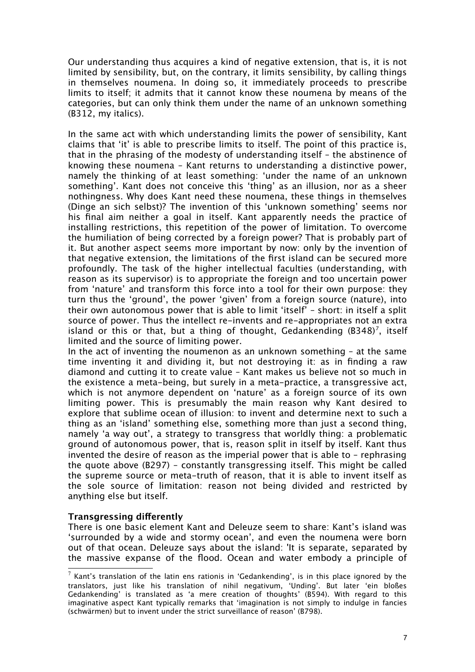Our understanding thus acquires a kind of negative extension, that is, it is not limited by sensibility, but, on the contrary, it limits sensibility, by calling things in themselves noumena. In doing so, it immediately proceeds to prescribe limits to itself; it admits that it cannot know these noumena by means of the categories, but can only think them under the name of an unknown something (B312, my italics).

In the same act with which understanding limits the power of sensibility, Kant claims that 'it' is able to prescribe limits to itself. The point of this practice is, that in the phrasing of the modesty of understanding itself – the abstinence of knowing these noumena – Kant returns to understanding a distinctive power, namely the thinking of at least something: 'under the name of an unknown something'. Kant does not conceive this 'thing' as an illusion, nor as a sheer nothingness. Why does Kant need these noumena, these things in themselves (Dinge an sich selbst)? The invention of this 'unknown something' seems nor his fnal aim neither a goal in itself. Kant apparently needs the practice of installing restrictions, this repetition of the power of limitation. To overcome the humiliation of being corrected by a foreign power? That is probably part of it. But another aspect seems more important by now: only by the invention of that negative extension, the limitations of the frst island can be secured more profoundly. The task of the higher intellectual faculties (understanding, with reason as its supervisor) is to appropriate the foreign and too uncertain power from 'nature' and transform this force into a tool for their own purpose: they turn thus the 'ground', the power 'given' from a foreign source (nature), into their own autonomous power that is able to limit 'itself' – short: in itself a split source of power. Thus the intellect re-invents and re-appropriates not an extra island or this or that, but a thing of thought, Gedankending (B348)<sup>[7](#page-6-0)</sup>, itself limited and the source of limiting power.

In the act of inventing the noumenon as an unknown something – at the same time inventing it and dividing it, but not destroying it: as in fnding a raw diamond and cutting it to create value – Kant makes us believe not so much in the existence a meta-being, but surely in a meta-practice, a transgressive act, which is not anymore dependent on 'nature' as a foreign source of its own limiting power. This is presumably the main reason why Kant desired to explore that sublime ocean of illusion: to invent and determine next to such a thing as an 'island' something else, something more than just a second thing, namely 'a way out', a strategy to transgress that worldly thing: a problematic ground of autonomous power, that is, reason split in itself by itself. Kant thus invented the desire of reason as the imperial power that is able to – rephrasing the quote above (B297) – constantly transgressing itself. This might be called the supreme source or meta-truth of reason, that it is able to invent itself as the sole source of limitation: reason not being divided and restricted by anything else but itself.

## **Transgressing differently**

There is one basic element Kant and Deleuze seem to share: Kant's island was 'surrounded by a wide and stormy ocean', and even the noumena were born out of that ocean. Deleuze says about the island: 'It is separate, separated by the massive expanse of the food. Ocean and water embody a principle of

<span id="page-6-0"></span> $^7$  Kant's translation of the latin ens rationis in 'Gedankending', is in this place ignored by the translators, just like his translation of nihil negativum, 'Unding'. But later 'ein bloßes Gedankending' is translated as 'a mere creation of thoughts' (B594). With regard to this imaginative aspect Kant typically remarks that 'imagination is not simply to indulge in fancies (schwärmen) but to invent under the strict surveillance of reason' (B798).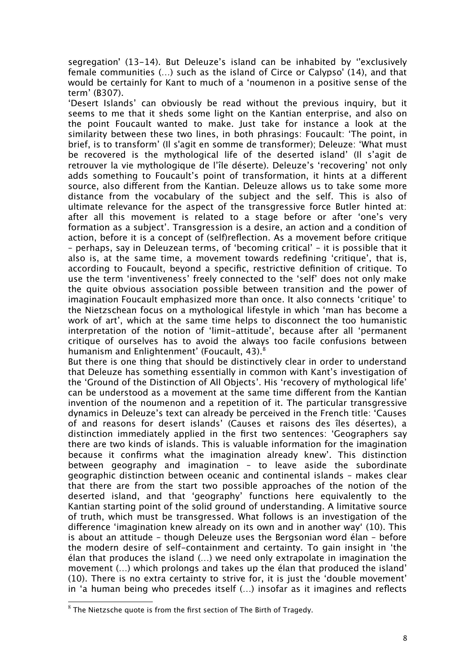segregation' (13-14). But Deleuze's island can be inhabited by ''exclusively female communities (…) such as the island of Circe or Calypso' (14), and that would be certainly for Kant to much of a 'noumenon in a positive sense of the term' (B307).

'Desert Islands' can obviously be read without the previous inquiry, but it seems to me that it sheds some light on the Kantian enterprise, and also on the point Foucault wanted to make. Just take for instance a look at the similarity between these two lines, in both phrasings: Foucault: 'The point, in brief, is to transform' (Il s'agit en somme de transformer); Deleuze: 'What must be recovered is the mythological life of the deserted island' (Il s'agit de retrouver la vie mythologique de l'île déserte). Deleuze's 'recovering' not only adds something to Foucault's point of transformation, it hints at a diferent source, also diferent from the Kantian. Deleuze allows us to take some more distance from the vocabulary of the subject and the self. This is also of ultimate relevance for the aspect of the transgressive force Butler hinted at: after all this movement is related to a stage before or after 'one's very formation as a subject'. Transgression is a desire, an action and a condition of action, before it is a concept of (self)refection. As a movement before critique – perhaps, say in Deleuzean terms, of 'becoming critical' – it is possible that it also is, at the same time, a movement towards redefning 'critique', that is, according to Foucault, beyond a specifc, restrictive defnition of critique. To use the term 'inventiveness' freely connected to the 'self' does not only make the quite obvious association possible between transition and the power of imagination Foucault emphasized more than once. It also connects 'critique' to the Nietzschean focus on a mythological lifestyle in which 'man has become a work of art', which at the same time helps to disconnect the too humanistic interpretation of the notion of 'limit-attitude', because after all 'permanent critique of ourselves has to avoid the always too facile confusions between humanism and Enlightenment' (Foucault, 43).<sup>[8](#page-7-0)</sup>

But there is one thing that should be distinctively clear in order to understand that Deleuze has something essentially in common with Kant's investigation of the 'Ground of the Distinction of All Objects'. His 'recovery of mythological life' can be understood as a movement at the same time diferent from the Kantian invention of the noumenon and a repetition of it. The particular transgressive dynamics in Deleuze's text can already be perceived in the French title: 'Causes of and reasons for desert islands' (Causes et raisons des îles désertes), a distinction immediately applied in the frst two sentences: 'Geographers say there are two kinds of islands. This is valuable information for the imagination because it confrms what the imagination already knew'. This distinction between geography and imagination – to leave aside the subordinate geographic distinction between oceanic and continental islands – makes clear that there are from the start two possible approaches of the notion of the deserted island, and that 'geography' functions here equivalently to the Kantian starting point of the solid ground of understanding. A limitative source of truth, which must be transgressed. What follows is an investigation of the diference 'imagination knew already on its own and in another way' (10). This is about an attitude – though Deleuze uses the Bergsonian word élan – before the modern desire of self-containment and certainty. To gain insight in 'the élan that produces the island (…) we need only extrapolate in imagination the movement (…) which prolongs and takes up the élan that produced the island' (10). There is no extra certainty to strive for, it is just the 'double movement' in 'a human being who precedes itself (…) insofar as it imagines and refects

<span id="page-7-0"></span> $^8$  The Nietzsche quote is from the first section of The Birth of Tragedy.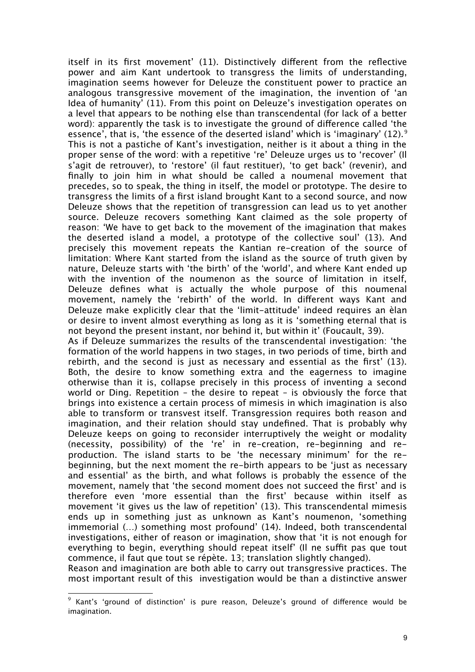itself in its frst movement' (11). Distinctively diferent from the refective power and aim Kant undertook to transgress the limits of understanding, imagination seems however for Deleuze the constituent power to practice an analogous transgressive movement of the imagination, the invention of 'an Idea of humanity' (11). From this point on Deleuze's investigation operates on a level that appears to be nothing else than transcendental (for lack of a better word): apparently the task is to investigate the ground of diference called 'the essence', that is, 'the essence of the deserted island' which is 'imaginary' (12).<sup>[9](#page-8-0)</sup> This is not a pastiche of Kant's investigation, neither is it about a thing in the proper sense of the word: with a repetitive 're' Deleuze urges us to 'recover' (Il s'agit de retrouver), to 'restore' (il faut restituer), 'to get back' (revenir), and fnally to join him in what should be called a noumenal movement that precedes, so to speak, the thing in itself, the model or prototype. The desire to transgress the limits of a frst island brought Kant to a second source, and now Deleuze shows that the repetition of transgression can lead us to yet another source. Deleuze recovers something Kant claimed as the sole property of reason: 'We have to get back to the movement of the imagination that makes the deserted island a model, a prototype of the collective soul' (13). And precisely this movement repeats the Kantian re-creation of the source of limitation: Where Kant started from the island as the source of truth given by nature, Deleuze starts with 'the birth' of the 'world', and where Kant ended up with the invention of the noumenon as the source of limitation in itself, Deleuze defnes what is actually the whole purpose of this noumenal movement, namely the 'rebirth' of the world. In diferent ways Kant and Deleuze make explicitly clear that the 'limit-attitude' indeed requires an èlan or desire to invent almost everything as long as it is 'something eternal that is not beyond the present instant, nor behind it, but within it' (Foucault, 39).

As if Deleuze summarizes the results of the transcendental investigation: 'the formation of the world happens in two stages, in two periods of time, birth and rebirth, and the second is just as necessary and essential as the first' (13). Both, the desire to know something extra and the eagerness to imagine otherwise than it is, collapse precisely in this process of inventing a second world or Ding. Repetition – the desire to repeat – is obviously the force that brings into existence a certain process of mimesis in which imagination is also able to transform or transvest itself. Transgression requires both reason and imagination, and their relation should stay undefned. That is probably why Deleuze keeps on going to reconsider interruptively the weight or modality (necessity, possibility) of the 're' in re-creation, re-beginning and reproduction. The island starts to be 'the necessary minimum' for the rebeginning, but the next moment the re-birth appears to be 'just as necessary and essential' as the birth, and what follows is probably the essence of the movement, namely that 'the second moment does not succeed the frst' and is therefore even 'more essential than the frst' because within itself as movement 'it gives us the law of repetition' (13). This transcendental mimesis ends up in something just as unknown as Kant's noumenon, 'something immemorial (…) something most profound' (14). Indeed, both transcendental investigations, either of reason or imagination, show that 'it is not enough for everything to begin, everything should repeat itself' (Il ne suffit pas que tout commence, il faut que tout se répète. 13; translation slightly changed).

Reason and imagination are both able to carry out transgressive practices. The most important result of this investigation would be than a distinctive answer

<span id="page-8-0"></span> $^9$  Kant's 'ground of distinction' is pure reason, Deleuze's ground of difference would be imagination.